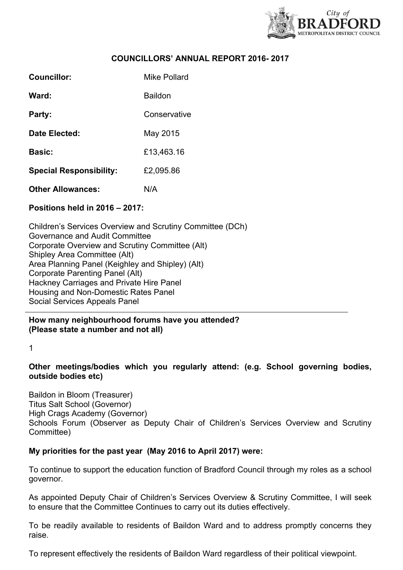

# **COUNCILLORS' ANNUAL REPORT 2016- 2017**

| Councillor:                    | Mike Pollard |
|--------------------------------|--------------|
| Ward:                          | Baildon      |
| Party:                         | Conservative |
| Date Elected:                  | May 2015     |
| <b>Basic:</b>                  | £13,463.16   |
| <b>Special Responsibility:</b> | £2,095.86    |
| <b>Other Allowances:</b>       | N/A          |

### **Positions held in 2016 – 2017:**

Children's Services Overview and Scrutiny Committee (DCh) Governance and Audit Committee Corporate Overview and Scrutiny Committee (Alt) Shipley Area Committee (Alt) Area Planning Panel (Keighley and Shipley) (Alt) Corporate Parenting Panel (Alt) Hackney Carriages and Private Hire Panel Housing and Non-Domestic Rates Panel Social Services Appeals Panel

**How many neighbourhood forums have you attended? (Please state a number and not all)**

1

# **Other meetings/bodies which you regularly attend: (e.g. School governing bodies, outside bodies etc)**

Baildon in Bloom (Treasurer) Titus Salt School (Governor) High Crags Academy (Governor) Schools Forum (Observer as Deputy Chair of Children's Services Overview and Scrutiny Committee)

### **My priorities for the past year (May 2016 to April 2017) were:**

To continue to support the education function of Bradford Council through my roles as a school governor.

As appointed Deputy Chair of Children's Services Overview & Scrutiny Committee, I will seek to ensure that the Committee Continues to carry out its duties effectively.

To be readily available to residents of Baildon Ward and to address promptly concerns they raise.

To represent effectively the residents of Baildon Ward regardless of their political viewpoint.